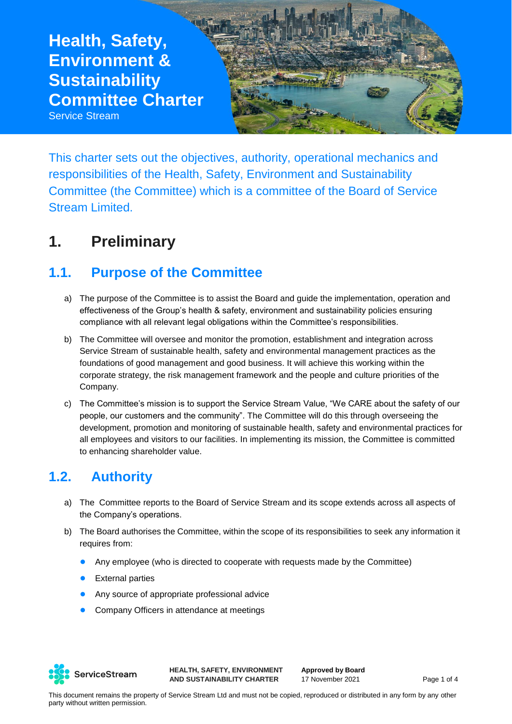# **Health, Safety, Environment & Sustainability Committee Charter**  Service Stream

This charter sets out the objectives, authority, operational mechanics and responsibilities of the Health, Safety, Environment and Sustainability Committee (the Committee) which is a committee of the Board of Service Stream Limited.

## **1. Preliminary**

## **1.1. Purpose of the Committee**

- a) The purpose of the Committee is to assist the Board and guide the implementation, operation and effectiveness of the Group's health & safety, environment and sustainability policies ensuring compliance with all relevant legal obligations within the Committee's responsibilities.
- b) The Committee will oversee and monitor the promotion, establishment and integration across Service Stream of sustainable health, safety and environmental management practices as the foundations of good management and good business. It will achieve this working within the corporate strategy, the risk management framework and the people and culture priorities of the Company.
- c) The Committee's mission is to support the Service Stream Value, "We CARE about the safety of our people, our customers and the community". The Committee will do this through overseeing the development, promotion and monitoring of sustainable health, safety and environmental practices for all employees and visitors to our facilities. In implementing its mission, the Committee is committed to enhancing shareholder value.

## **1.2. Authority**

- a) The Committee reports to the Board of Service Stream and its scope extends across all aspects of the Company's operations.
- b) The Board authorises the Committee, within the scope of its responsibilities to seek any information it requires from:
	- Any employee (who is directed to cooperate with requests made by the Committee)
	- **•** External parties
	- Any source of appropriate professional advice
	- Company Officers in attendance at meetings



**HEALTH, SAFETY, ENVIRONMENT AND SUSTAINABILITY CHARTER**

**Approved by Board** 17 November 2021 Page 1 of 4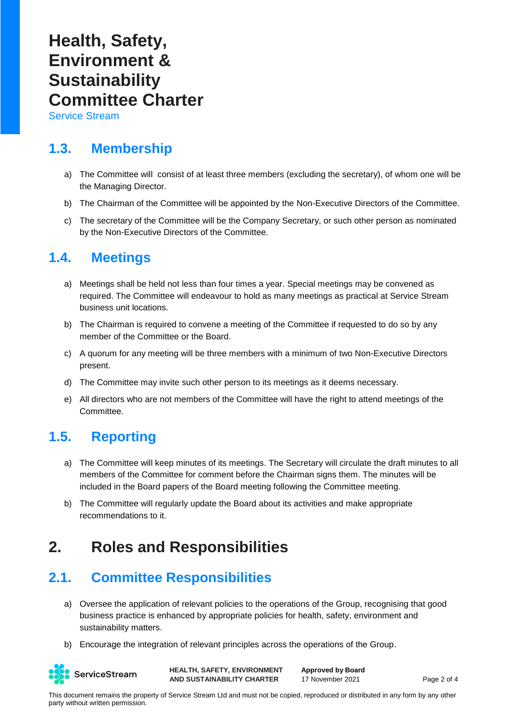# **Health, Safety, Environment & Sustainability Committee Charter**

Service Stream

## **1.3. Membership**

- a) The Committee will consist of at least three members (excluding the secretary), of whom one will be the Managing Director.
- b) The Chairman of the Committee will be appointed by the Non-Executive Directors of the Committee.
- c) The secretary of the Committee will be the Company Secretary, or such other person as nominated by the Non-Executive Directors of the Committee.

#### **1.4. Meetings**

- a) Meetings shall be held not less than four times a year. Special meetings may be convened as required. The Committee will endeavour to hold as many meetings as practical at Service Stream business unit locations.
- b) The Chairman is required to convene a meeting of the Committee if requested to do so by any member of the Committee or the Board.
- c) A quorum for any meeting will be three members with a minimum of two Non-Executive Directors present.
- d) The Committee may invite such other person to its meetings as it deems necessary.
- e) All directors who are not members of the Committee will have the right to attend meetings of the Committee.

## **1.5. Reporting**

- a) The Committee will keep minutes of its meetings. The Secretary will circulate the draft minutes to all members of the Committee for comment before the Chairman signs them. The minutes will be included in the Board papers of the Board meeting following the Committee meeting.
- b) The Committee will regularly update the Board about its activities and make appropriate recommendations to it.

## **2. Roles and Responsibilities**

## **2.1. Committee Responsibilities**

- a) Oversee the application of relevant policies to the operations of the Group, recognising that good business practice is enhanced by appropriate policies for health, safety, environment and sustainability matters.
- b) Encourage the integration of relevant principles across the operations of the Group.



**HEALTH, SAFETY, ENVIRONMENT AND SUSTAINABILITY CHARTER**

**Approved by Board** 17 November 2021 Page 2 of 4

This document remains the property of Service Stream Ltd and must not be copied, reproduced or distributed in any form by any other party without written permission.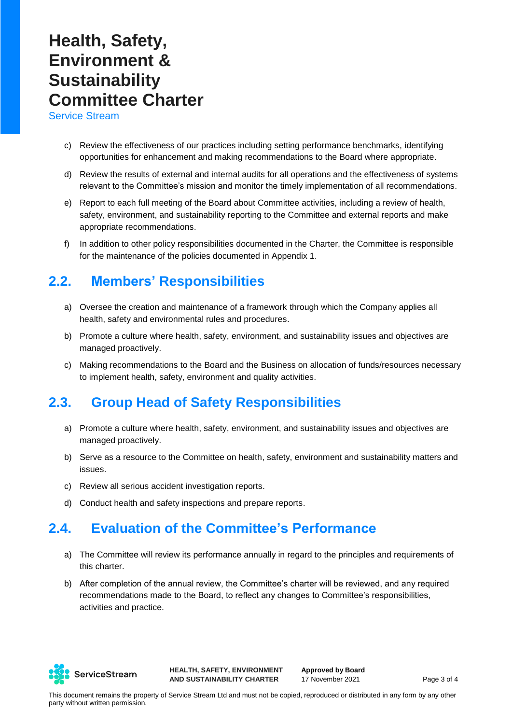# **Health, Safety, Environment & Sustainability Committee Charter**

Service Stream

- c) Review the effectiveness of our practices including setting performance benchmarks, identifying opportunities for enhancement and making recommendations to the Board where appropriate.
- d) Review the results of external and internal audits for all operations and the effectiveness of systems relevant to the Committee's mission and monitor the timely implementation of all recommendations.
- e) Report to each full meeting of the Board about Committee activities, including a review of health, safety, environment, and sustainability reporting to the Committee and external reports and make appropriate recommendations.
- f) In addition to other policy responsibilities documented in the Charter, the Committee is responsible for the maintenance of the policies documented in Appendix 1.

## **2.2. Members' Responsibilities**

- a) Oversee the creation and maintenance of a framework through which the Company applies all health, safety and environmental rules and procedures.
- b) Promote a culture where health, safety, environment, and sustainability issues and objectives are managed proactively.
- c) Making recommendations to the Board and the Business on allocation of funds/resources necessary to implement health, safety, environment and quality activities.

## **2.3. Group Head of Safety Responsibilities**

- a) Promote a culture where health, safety, environment, and sustainability issues and objectives are managed proactively.
- b) Serve as a resource to the Committee on health, safety, environment and sustainability matters and issues.
- c) Review all serious accident investigation reports.
- d) Conduct health and safety inspections and prepare reports.

#### **2.4. Evaluation of the Committee's Performance**

- a) The Committee will review its performance annually in regard to the principles and requirements of this charter.
- b) After completion of the annual review, the Committee's charter will be reviewed, and any required recommendations made to the Board, to reflect any changes to Committee's responsibilities, activities and practice.



**HEALTH, SAFETY, ENVIRONMENT AND SUSTAINABILITY CHARTER**

**Approved by Board** 17 November 2021 Page 3 of 4